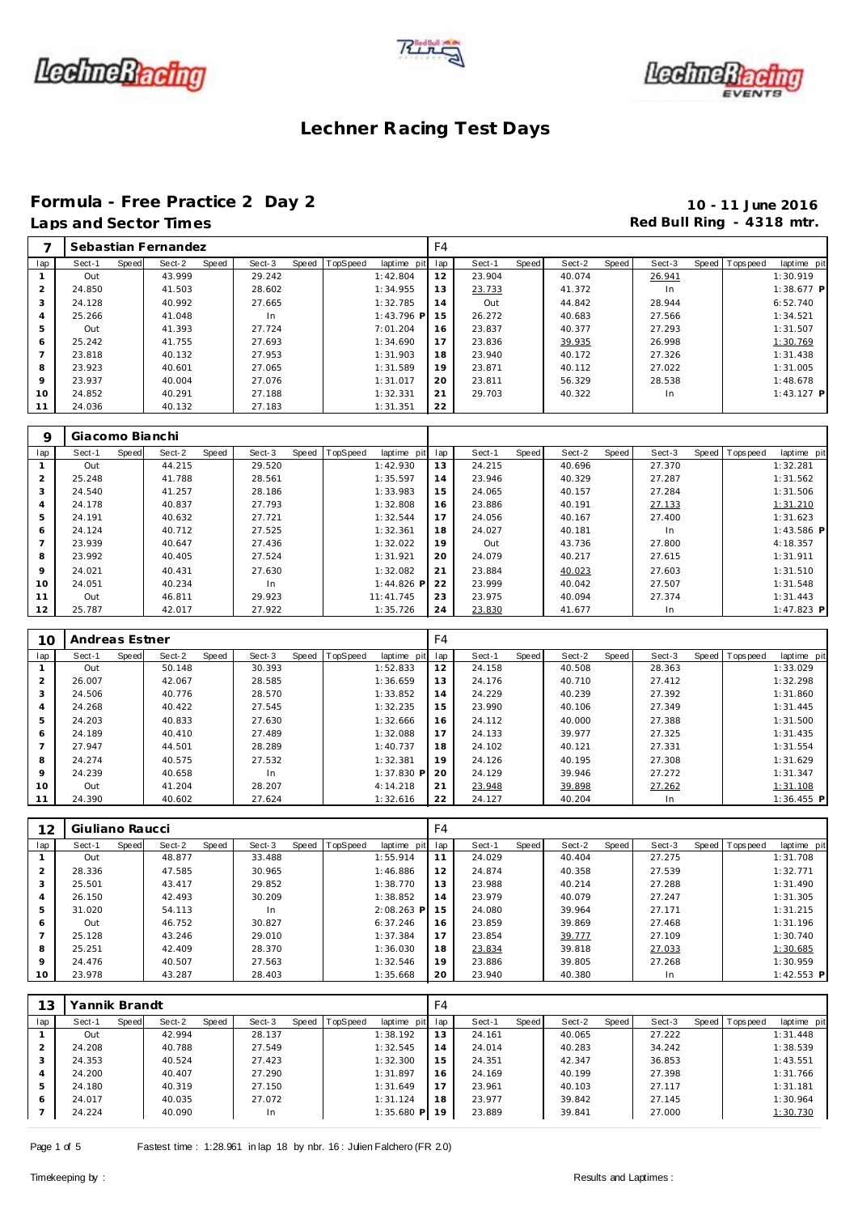





## **Formula - Free Practice 2 Day 2 10 - 11 June 2016**

# **Laps and Section 2 and Sector Times Red Bull Ring - 4318 mtr.**

|  | Laps and Sector Times |  |
|--|-----------------------|--|
|  |                       |  |

|                |        |       | Sebastian Fernandez |       |        |                |             | F4  |        |       |        |       |        |                |              |
|----------------|--------|-------|---------------------|-------|--------|----------------|-------------|-----|--------|-------|--------|-------|--------|----------------|--------------|
| lap            | Sect-1 | Speed | Sect-2              | Speed | Sect-3 | Speed TopSpeed | laptime pit | lap | Sect-1 | Speed | Sect-2 | Speed | Sect-3 | Speed Topspeed | laptime pit  |
|                | Out    |       | 43.999              |       | 29.242 |                | 1:42.804    | 12  | 23.904 |       | 40.074 |       | 26.941 |                | 1:30.919     |
| $\overline{2}$ | 24.850 |       | 41.503              |       | 28.602 |                | 1:34.955    | 13  | 23.733 |       | 41.372 |       | In.    |                | $1:38.677$ P |
| 3              | 24.128 |       | 40.992              |       | 27.665 |                | 1:32.785    | 14  | Out    |       | 44.842 |       | 28.944 |                | 6:52.740     |
| 4              | 25.266 |       | 41.048              |       | In     |                | 1:43.796 P  | 15  | 26.272 |       | 40.683 |       | 27.566 |                | 1:34.521     |
| 5              | Out    |       | 41.393              |       | 27.724 |                | 7:01.204    | 16  | 23.837 |       | 40.377 |       | 27.293 |                | 1:31.507     |
| 6              | 25.242 |       | 41.755              |       | 27.693 |                | 1:34.690    | 17  | 23.836 |       | 39.935 |       | 26.998 |                | 1:30.769     |
|                | 23.818 |       | 40.132              |       | 27.953 |                | 1:31.903    | 18  | 23.940 |       | 40.172 |       | 27.326 |                | 1:31.438     |
| 8              | 23.923 |       | 40.601              |       | 27.065 |                | 1:31.589    | 19  | 23.871 |       | 40.112 |       | 27.022 |                | 1:31.005     |
| 9              | 23.937 |       | 40.004              |       | 27.076 |                | 1:31.017    | 20  | 23.811 |       | 56.329 |       | 28.538 |                | 1:48.678     |
| 10             | 24.852 |       | 40.291              |       | 27.188 |                | 1:32.331    | 21  | 29.703 |       | 40.322 |       | In     |                | $1:43.127$ P |
|                | 24.036 |       | 40.132              |       | 27.183 |                | 1:31.351    | 22  |        |       |        |       |        |                |              |

| 9              | Giacomo Bianchi |       |        |       |        |       |                 |              |     |        |       |        |       |        |       |             |              |
|----------------|-----------------|-------|--------|-------|--------|-------|-----------------|--------------|-----|--------|-------|--------|-------|--------|-------|-------------|--------------|
| lap            | Sect-1          | Speed | Sect-2 | Speed | Sect-3 | Speed | <b>TopSpeed</b> | laptime pit  | lap | Sect-1 | Speed | Sect-2 | Speed | Sect-3 | Speed | T ops pee d | laptime pit  |
|                | Out             |       | 44.215 |       | 29.520 |       |                 | 1:42.930     | 13  | 24.215 |       | 40.696 |       | 27.370 |       |             | 1:32.281     |
| 2              | 25.248          |       | 41.788 |       | 28.561 |       |                 | 1:35.597     | 14  | 23.946 |       | 40.329 |       | 27.287 |       |             | 1:31.562     |
| 3              | 24.540          |       | 41.257 |       | 28.186 |       |                 | 1:33.983     | 15  | 24.065 |       | 40.157 |       | 27.284 |       |             | 1:31.506     |
| 4              | 24.178          |       | 40.837 |       | 27.793 |       |                 | 1:32.808     | 16  | 23.886 |       | 40.191 |       | 27.133 |       |             | 1:31.210     |
| 5              | 24.191          |       | 40.632 |       | 27.721 |       |                 | 1:32.544     | 17  | 24.056 |       | 40.167 |       | 27.400 |       |             | 1:31.623     |
| 6              | 24.124          |       | 40.712 |       | 27.525 |       |                 | 1:32.361     | 18  | 24.027 |       | 40.181 |       | In     |       |             | $1:43.586$ P |
| $\overline{ }$ | 23.939          |       | 40.647 |       | 27.436 |       |                 | 1:32.022     | 19  | Out    |       | 43.736 |       | 27.800 |       |             | 4:18.357     |
| 8              | 23.992          |       | 40.405 |       | 27.524 |       |                 | 1:31.921     | 20  | 24.079 |       | 40.217 |       | 27.615 |       |             | 1:31.911     |
| 9              | 24.021          |       | 40.431 |       | 27.630 |       |                 | 1:32.082     | 21  | 23.884 |       | 40.023 |       | 27.603 |       |             | 1:31.510     |
| 10             | 24.051          |       | 40.234 |       | In.    |       |                 | $1:44.826$ P | 22  | 23.999 |       | 40.042 |       | 27.507 |       |             | 1:31.548     |
| 11             | Out             |       | 46.811 |       | 29.923 |       |                 | 11:41.745    | 23  | 23.975 |       | 40.094 |       | 27.374 |       |             | 1:31.443     |
| 12             | 25.787          |       | 42.017 |       | 27.922 |       |                 | 1:35.726     | 24  | 23.830 |       | 41.677 |       | In     |       |             | $1:47.823$ P |

| 10             | Andreas Estner |       |        |       |        |                |                 | F4 |        |       |        |       |        |                |              |
|----------------|----------------|-------|--------|-------|--------|----------------|-----------------|----|--------|-------|--------|-------|--------|----------------|--------------|
| lap            | Sect-1         | Speed | Sect-2 | Speed | Sect-3 | Speed TopSpeed | laptime pit lap |    | Sect-1 | Speed | Sect-2 | Speed | Sect-3 | Speed Topspeed | laptime pit  |
|                | Out            |       | 50.148 |       | 30.393 |                | 1:52.833        | 12 | 24.158 |       | 40.508 |       | 28.363 |                | 1:33.029     |
| $\overline{2}$ | 26.007         |       | 42.067 |       | 28.585 |                | 1:36.659        | 13 | 24.176 |       | 40.710 |       | 27.412 |                | 1:32.298     |
| 3              | 24.506         |       | 40.776 |       | 28.570 |                | 1:33.852        | 14 | 24.229 |       | 40.239 |       | 27.392 |                | 1:31.860     |
| 4              | 24.268         |       | 40.422 |       | 27.545 |                | 1:32.235        | 15 | 23.990 |       | 40.106 |       | 27.349 |                | 1:31.445     |
| 5              | 24.203         |       | 40.833 |       | 27.630 |                | 1:32.666        | 16 | 24.112 |       | 40.000 |       | 27.388 |                | 1:31.500     |
| 6              | 24.189         |       | 40.410 |       | 27.489 |                | 1:32.088        | 17 | 24.133 |       | 39.977 |       | 27.325 |                | 1:31.435     |
| $\overline{7}$ | 27.947         |       | 44.501 |       | 28.289 |                | 1:40.737        | 18 | 24.102 |       | 40.121 |       | 27.331 |                | 1:31.554     |
| 8              | 24.274         |       | 40.575 |       | 27.532 |                | 1:32.381        | 19 | 24.126 |       | 40.195 |       | 27.308 |                | 1:31.629     |
| 9              | 24.239         |       | 40.658 |       | In.    |                | $1:37.830$ P    | 20 | 24.129 |       | 39.946 |       | 27.272 |                | 1:31.347     |
| 10             | Out            |       | 41.204 |       | 28.207 |                | 4:14.218        | 21 | 23.948 |       | 39.898 |       | 27.262 |                | 1:31.108     |
| 11             | 24.390         |       | 40.602 |       | 27.624 |                | 1:32.616        | 22 | 24.127 |       | 40.204 |       | In     |                | $1:36.455$ P |

| 12      | Giuliano Raucci |       |        |       |        |                  |              | F4  |        |       |        |       |        |                |              |
|---------|-----------------|-------|--------|-------|--------|------------------|--------------|-----|--------|-------|--------|-------|--------|----------------|--------------|
| lap     | Sect-1          | Speed | Sect-2 | Speed | Sect-3 | Speed   TopSpeed | laptime pit  | lap | Sect-1 | Speed | Sect-2 | Speed | Sect-3 | Speed Topspeed | laptime pit  |
|         | Out             |       | 48.877 |       | 33.488 |                  | 1:55.914     | 11  | 24.029 |       | 40.404 |       | 27.275 |                | 1:31.708     |
| 2       | 28.336          |       | 47.585 |       | 30.965 |                  | 1:46.886     | 12  | 24.874 |       | 40.358 |       | 27.539 |                | 1:32.771     |
| 3       | 25.501          |       | 43.417 |       | 29.852 |                  | 1:38.770     | 13  | 23.988 |       | 40.214 |       | 27.288 |                | 1:31.490     |
| 4       | 26.150          |       | 42.493 |       | 30.209 |                  | 1:38.852     | 14  | 23.979 |       | 40.079 |       | 27.247 |                | 1:31.305     |
| 5       | 31.020          |       | 54.113 |       | In     |                  | $2:08.263$ P | 15  | 24.080 |       | 39.964 |       | 27.171 |                | 1:31.215     |
| 6       | Out             |       | 46.752 |       | 30.827 |                  | 6:37.246     | 16  | 23.859 |       | 39.869 |       | 27.468 |                | 1:31.196     |
|         | 25.128          |       | 43.246 |       | 29.010 |                  | 1:37.384     | 17  | 23.854 |       | 39.777 |       | 27.109 |                | 1:30.740     |
| 8       | 25.251          |       | 42.409 |       | 28.370 |                  | 1:36.030     | 18  | 23.834 |       | 39.818 |       | 27.033 |                | 1:30.685     |
| $\circ$ | 24.476          |       | 40.507 |       | 27.563 |                  | 1:32.546     | 19  | 23.886 |       | 39.805 |       | 27.268 |                | 1:30.959     |
| 10      | 23.978          |       | 43.287 |       | 28.403 |                  | 1:35.668     | 20  | 23.940 |       | 40.380 |       | In.    |                | $1:42.553$ P |

| 13             | Yannik Brandt |       |        |       |        |                  |              | F4  |        |       |        |       |        |       |           |             |
|----------------|---------------|-------|--------|-------|--------|------------------|--------------|-----|--------|-------|--------|-------|--------|-------|-----------|-------------|
| lap            | Sect-1        | Speed | Sect-2 | Speed | Sect-3 | Speed   TopSpeed | laptime pit  | lap | Sect-1 | Speed | Sect-2 | Speed | Sect-3 | Speed | Tops peed | laptime pit |
|                | Out           |       | 42.994 |       | 28.137 |                  | 1:38.192     | 13  | 24.161 |       | 40.065 |       | 27.222 |       |           | 1:31.448    |
|                | 24.208        |       | 40.788 |       | 27.549 |                  | 1:32.545     | 14  | 24.014 |       | 40.283 |       | 34.242 |       |           | 1:38.539    |
| 3              | 24.353        |       | 40.524 |       | 27.423 |                  | 1:32.300     | 15  | 24.351 |       | 42.347 |       | 36.853 |       |           | 1:43.551    |
| $\overline{4}$ | 24.200        |       | 40.407 |       | 27.290 |                  | 1:31.897     | 16  | 24.169 |       | 40.199 |       | 27.398 |       |           | 1:31.766    |
| 5              | 24.180        |       | 40.319 |       | 27.150 |                  | 1:31.649     | 17  | 23.961 |       | 40.103 |       | 27.117 |       |           | 1:31.181    |
| 6              | 24.017        |       | 40.035 |       | 27.072 |                  | 1:31.124     | 18  | 23.977 |       | 39.842 |       | 27.145 |       |           | 1:30.964    |
|                | 24.224        |       | 40.090 |       | In     |                  | $1:35.680$ P | 19  | 23.889 |       | 39.841 |       | 27.000 |       |           | 1:30.730    |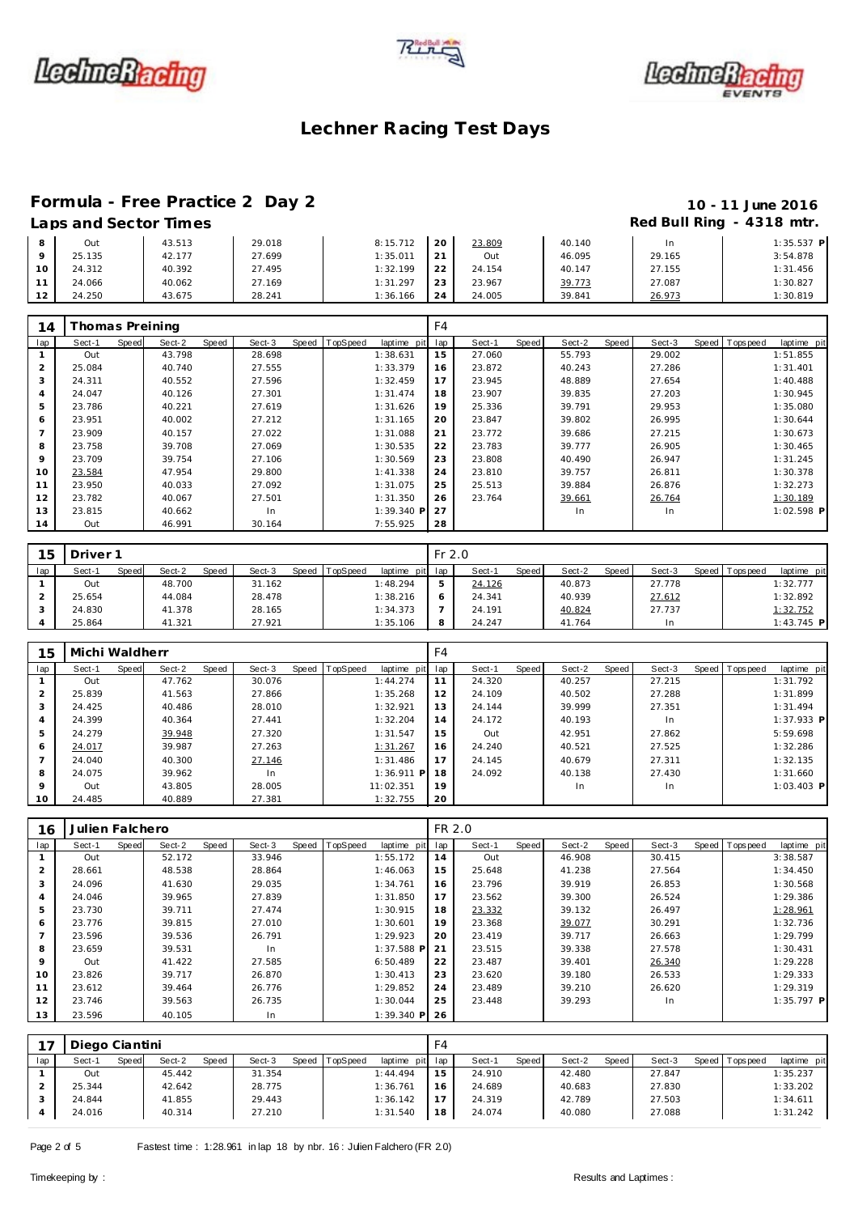





#### **Formula - Free Practice 2 Day 2 10 - 11 June 2016**

## Laps and Sector Times **Red Bull Ring - 4318 mtr. Red Bull Ring - 4318 mtr.**

|    | Out    | 43.513 | 29.018 | 8:15.712          | 20        | 23.809 | 40.140 | ln.    | $1:35.537$ P |
|----|--------|--------|--------|-------------------|-----------|--------|--------|--------|--------------|
|    | 25.135 | 42.177 | 27.699 | $1:35.01^{\circ}$ | $\bigcap$ | Out    | 46.095 | 29.165 | 3:54.878     |
| 10 | 24.312 | 40.392 | 27.495 | 1:32.199          | つつ        | 24.154 | 40.147 | 27.155 | 1:31.456     |
|    | 24.066 | 40.062 | 27.169 | 1:31.297          | 23        | 23.967 | 39.773 | 27.087 | 1:30.827     |
| 12 | 24.250 | 43.675 | 28.241 | 1:36.166          | 24        | 24.005 | 39.841 | 26.973 | 1:30.819     |

| 14  | Thomas Preining |              |        |       |        |                |             | F4  |        |       |        |       |        |                   |             |
|-----|-----------------|--------------|--------|-------|--------|----------------|-------------|-----|--------|-------|--------|-------|--------|-------------------|-------------|
| lap | Sect-1          | <b>Speed</b> | Sect-2 | Speed | Sect-3 | Speed TopSpeed | laptime pit | lap | Sect-1 | Speed | Sect-2 | Speed | Sect-3 | Speed   Tops peed | laptime pit |
|     | Out             |              | 43.798 |       | 28.698 |                | 1:38.631    | 15  | 27.060 |       | 55.793 |       | 29.002 |                   | 1:51.855    |
| 2   | 25.084          |              | 40.740 |       | 27.555 |                | 1:33.379    | 16  | 23.872 |       | 40.243 |       | 27.286 |                   | 1:31.401    |
| 3   | 24.311          |              | 40.552 |       | 27.596 |                | 1:32.459    | 17  | 23.945 |       | 48.889 |       | 27.654 |                   | 1:40.488    |
| 4   | 24.047          |              | 40.126 |       | 27.301 |                | 1:31.474    | 18  | 23.907 |       | 39.835 |       | 27.203 |                   | 1:30.945    |
| 5   | 23.786          |              | 40.221 |       | 27.619 |                | 1:31.626    | 19  | 25.336 |       | 39.791 |       | 29.953 |                   | 1:35.080    |
| 6   | 23.951          |              | 40.002 |       | 27.212 |                | 1:31.165    | 20  | 23.847 |       | 39.802 |       | 26.995 |                   | 1:30.644    |
|     | 23.909          |              | 40.157 |       | 27.022 |                | 1:31.088    | 21  | 23.772 |       | 39.686 |       | 27.215 |                   | 1:30.673    |
| 8   | 23.758          |              | 39.708 |       | 27.069 |                | 1:30.535    | 22  | 23.783 |       | 39.777 |       | 26.905 |                   | 1:30.465    |
| 9   | 23.709          |              | 39.754 |       | 27.106 |                | 1:30.569    | 23  | 23.808 |       | 40.490 |       | 26.947 |                   | 1:31.245    |
| 10  | 23.584          |              | 47.954 |       | 29.800 |                | 1:41.338    | 24  | 23.810 |       | 39.757 |       | 26.811 |                   | 1:30.378    |
| 11  | 23.950          |              | 40.033 |       | 27.092 |                | 1:31.075    | 25  | 25.513 |       | 39.884 |       | 26.876 |                   | 1:32.273    |
| 12  | 23.782          |              | 40.067 |       | 27.501 |                | 1:31.350    | 26  | 23.764 |       | 39.661 |       | 26.764 |                   | 1:30.189    |
| 13  | 23.815          |              | 40.662 |       | In     |                | 1:39.340 P  | 27  |        |       | In     |       | In.    |                   | 1:02.598 P  |
| 14  | Out             |              | 46.991 |       | 30.164 |                | 7:55.925    | 28  |        |       |        |       |        |                   |             |

| 15  | Driver <sup>1</sup> |       |        |       |        |                |             | $Fr$ 2.0 |        |       |        |              |        |                |              |
|-----|---------------------|-------|--------|-------|--------|----------------|-------------|----------|--------|-------|--------|--------------|--------|----------------|--------------|
| lap | Sect-1              | Speed | Sect-2 | Speed | Sect-3 | Speed TopSpeed | laptime pit | lap      | Sect-1 | Speed | Sect-2 | <b>Speed</b> | Sect-3 | Speed Topspeed | laptime pit  |
|     | Out                 |       | 48.700 |       | 31.162 |                | 1:48.294    |          | 24.126 |       | 40.873 |              | 27.778 |                | 1:32.777     |
|     | 25.654              |       | 44.084 |       | 28.478 |                | 1:38.216    |          | 24.341 |       | 40.939 |              | 27.612 |                | 1:32.892     |
|     | 24.830              |       | 41.378 |       | 28.165 |                | 1:34.373    |          | 24.191 |       | 40.824 |              | 27.737 |                | 1:32.752     |
|     | 25.864              |       | 41.321 |       | 27.921 |                | 1:35.106    | 8        | 24.247 |       | 41.764 |              | In.    |                | $1:43.745$ P |

| 15             | Michi Waldherr |       |        |       |        |                |              | F4  |        |       |        |       |        |                |              |
|----------------|----------------|-------|--------|-------|--------|----------------|--------------|-----|--------|-------|--------|-------|--------|----------------|--------------|
| lap            | Sect-1         | Speed | Sect-2 | Speed | Sect-3 | Speed TopSpeed | laptime pit  | lap | Sect-1 | Speed | Sect-2 | Speed | Sect-3 | Speed Topspeed | laptime pit  |
|                | Out            |       | 47.762 |       | 30.076 |                | 1:44.274     | 11  | 24.320 |       | 40.257 |       | 27.215 |                | 1:31.792     |
|                | 25.839         |       | 41.563 |       | 27.866 |                | 1:35.268     | 12  | 24.109 |       | 40.502 |       | 27.288 |                | 1:31.899     |
| 3              | 24.425         |       | 40.486 |       | 28.010 |                | 1:32.921     | 13  | 24.144 |       | 39.999 |       | 27.351 |                | 1:31.494     |
| $\overline{4}$ | 24.399         |       | 40.364 |       | 27.441 |                | 1:32.204     | 14  | 24.172 |       | 40.193 |       | In.    |                | $1:37.933$ P |
| 5              | 24.279         |       | 39.948 |       | 27.320 |                | 1:31.547     | 15  | Out    |       | 42.951 |       | 27.862 |                | 5:59.698     |
| 6              | 24.017         |       | 39.987 |       | 27.263 |                | 1:31.267     | 16  | 24.240 |       | 40.521 |       | 27.525 |                | 1:32.286     |
|                | 24.040         |       | 40.300 |       | 27.146 |                | 1:31.486     | 17  | 24.145 |       | 40.679 |       | 27.311 |                | 1:32.135     |
| 8              | 24.075         |       | 39.962 |       | In     |                | $1:36.911$ P | 18  | 24.092 |       | 40.138 |       | 27.430 |                | 1:31.660     |
| 9              | Out            |       | 43.805 |       | 28.005 |                | 11:02.351    | 19  |        |       | In     |       | In.    |                | $1:03.403$ P |
| 10             | 24.485         |       | 40.889 |       | 27.381 |                | 1:32.755     | 20  |        |       |        |       |        |                |              |

| 16             | Julien Falchero |       |        |       |        |                |                 | FR 2.0 |        |       |        |       |        |                |             |
|----------------|-----------------|-------|--------|-------|--------|----------------|-----------------|--------|--------|-------|--------|-------|--------|----------------|-------------|
| lap            | Sect-1          | Speed | Sect-2 | Speed | Sect-3 | Speed TopSpeed | laptime pit     | lap    | Sect-1 | Speed | Sect-2 | Speed | Sect-3 | Speed Topspeed | laptime pit |
|                | Out             |       | 52.172 |       | 33.946 |                | 1:55.172        | 14     | Out    |       | 46.908 |       | 30.415 |                | 3:38.587    |
| $\overline{2}$ | 28.661          |       | 48.538 |       | 28.864 |                | 1:46.063        | 15     | 25.648 |       | 41.238 |       | 27.564 |                | 1:34.450    |
| 3              | 24.096          |       | 41.630 |       | 29.035 |                | 1:34.761        | 16     | 23.796 |       | 39.919 |       | 26.853 |                | 1:30.568    |
| $\overline{4}$ | 24.046          |       | 39.965 |       | 27.839 |                | 1:31.850        | 17     | 23.562 |       | 39.300 |       | 26.524 |                | 1:29.386    |
| 5              | 23.730          |       | 39.711 |       | 27.474 |                | 1:30.915        | 18     | 23.332 |       | 39.132 |       | 26.497 |                | 1:28.961    |
| 6              | 23.776          |       | 39.815 |       | 27.010 |                | 1:30.601        | 19     | 23.368 |       | 39.077 |       | 30.291 |                | 1:32.736    |
|                | 23.596          |       | 39.536 |       | 26.791 |                | 1:29.923        | 20     | 23.419 |       | 39.717 |       | 26.663 |                | 1:29.799    |
| 8              | 23.659          |       | 39.531 |       | In     |                | $1:37.588$ P    | 21     | 23.515 |       | 39.338 |       | 27.578 |                | 1:30.431    |
| 9              | Out             |       | 41.422 |       | 27.585 |                | 6:50.489        | 22     | 23.487 |       | 39.401 |       | 26.340 |                | 1:29.228    |
| 10             | 23.826          |       | 39.717 |       | 26.870 |                | 1:30.413        | 23     | 23.620 |       | 39.180 |       | 26.533 |                | 1:29.333    |
| 11             | 23.612          |       | 39.464 |       | 26.776 |                | 1:29.852        | 24     | 23.489 |       | 39.210 |       | 26.620 |                | 1:29.319    |
| 12             | 23.746          |       | 39.563 |       | 26.735 |                | 1:30.044        | 25     | 23.448 |       | 39.293 |       | In.    |                | 1:35.797 P  |
| 13             | 23.596          |       | 40.105 |       | In     |                | $1:39.340$ P 26 |        |        |       |        |       |        |                |             |

| 17  | Diego Ciantini |              |        |              |        |       |                 |             | F4  |        |              |        |       |        |                |             |
|-----|----------------|--------------|--------|--------------|--------|-------|-----------------|-------------|-----|--------|--------------|--------|-------|--------|----------------|-------------|
| lap | Sect-1         | <b>Speed</b> | Sect-2 | <b>Speed</b> | Sect-3 | Speed | <b>TopSpeed</b> | laptime pit | lap | Sect-1 | <b>Speed</b> | Sect-2 | Speed | Sect-3 | Speed Topspeed | laptime pit |
|     | Out            |              | 45.442 |              | 31.354 |       |                 | 1:44.494    | 15  | 24.910 |              | 42.480 |       | 27.847 |                | 1:35.237    |
|     | 25.344         |              | 42.642 |              | 28.775 |       |                 | 1:36.761    | 16  | 24.689 |              | 40.683 |       | 27.830 |                | 1:33.202    |
|     | 24.844         |              | 41.855 |              | 29.443 |       |                 | 1:36.142    | 17  | 24.319 |              | 42.789 |       | 27.503 |                | 1:34.611    |
|     | 24.016         |              | 40.314 |              | 27.210 |       |                 | 1:31.540    | 18  | 24.074 |              | 40.080 |       | 27.088 |                | 1:31.242    |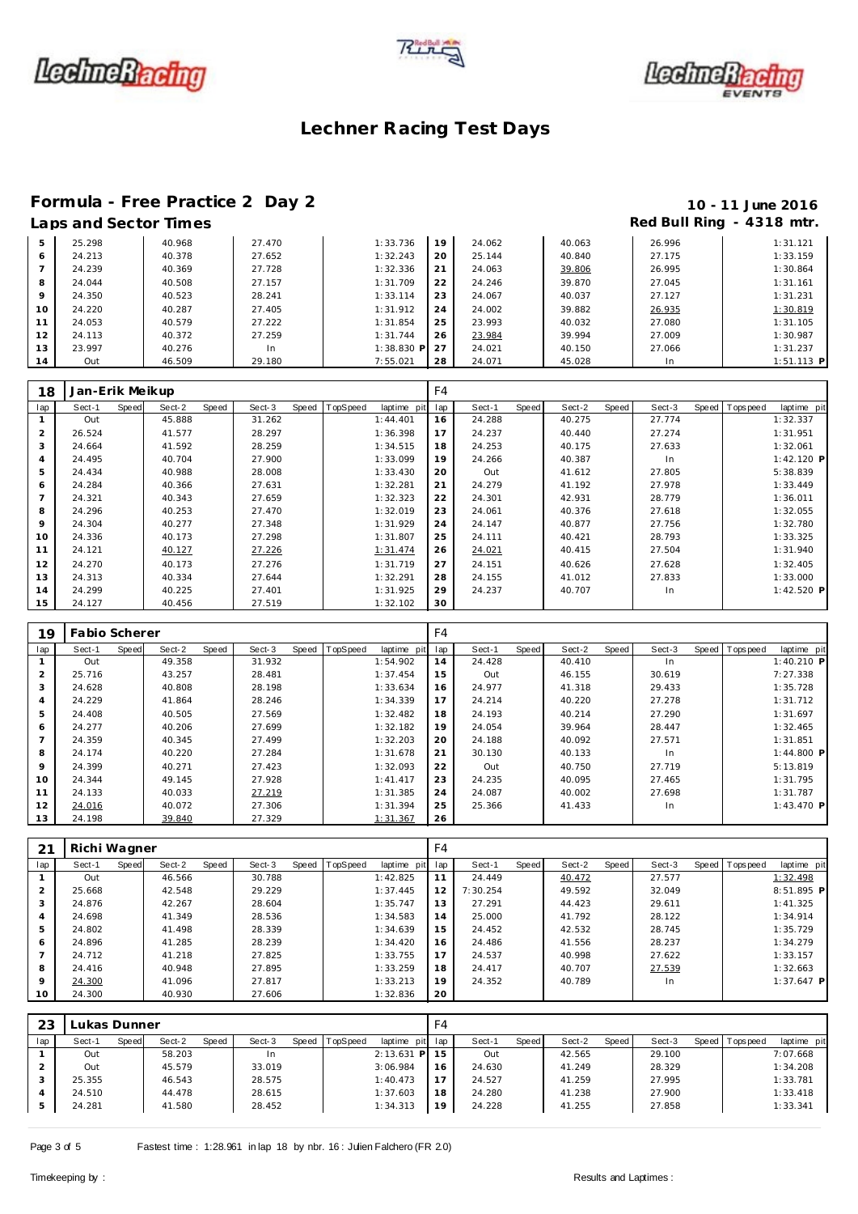





#### **Formula - Free Practice 2 Day 2 10 - 11 June 2016**

### Laps and Sector Times **Red Bull Ring - 4318 mtr. Red Bull Ring - 4318 mtr.**

| 5       | 25.298 | 40.968 | 27.470 | 1:33.736   | 19 | 24.062 | 40.063 | 26.996 | 1:31.121     |
|---------|--------|--------|--------|------------|----|--------|--------|--------|--------------|
| 6       | 24.213 | 40.378 | 27.652 | 1:32.243   | 20 | 25.144 | 40.840 | 27.175 | 1:33.159     |
|         | 24.239 | 40.369 | 27.728 | 1:32.336   | 21 | 24.063 | 39.806 | 26.995 | 1:30.864     |
| 8       | 24.044 | 40.508 | 27.157 | 1:31.709   | 22 | 24.246 | 39.870 | 27.045 | 1:31.161     |
| $\circ$ | 24.350 | 40.523 | 28.241 | 1:33.114   | 23 | 24.067 | 40.037 | 27.127 | 1:31.231     |
| 10      | 24.220 | 40.287 | 27.405 | 1:31.912   | 24 | 24.002 | 39.882 | 26.935 | 1:30.819     |
| 11      | 24.053 | 40.579 | 27.222 | 1:31.854   | 25 | 23.993 | 40.032 | 27.080 | 1:31.105     |
| 12      | 24.113 | 40.372 | 27.259 | 1:31.744   | 26 | 23.984 | 39.994 | 27.009 | 1:30.987     |
| 13      | 23.997 | 40.276 | In     | 1:38.830 P |    | 24.021 | 40.150 | 27.066 | 1:31.237     |
| 14      | Out    | 46.509 | 29.180 | 7:55.021   | 28 | 24.071 | 45.028 | In     | $1:51.113$ P |

| 18             | Jan-Erik Meikup |       |        |       |        |       |          |                 | F <sub>4</sub> |        |       |        |       |        |       |          |              |
|----------------|-----------------|-------|--------|-------|--------|-------|----------|-----------------|----------------|--------|-------|--------|-------|--------|-------|----------|--------------|
| lap            | Sect-1          | Speed | Sect-2 | Speed | Sect-3 | Speed | TopSpeed | laptime pit lap |                | Sect-1 | Speed | Sect-2 | Speed | Sect-3 | Speed | Topspeed | laptime pit  |
|                | Out             |       | 45.888 |       | 31.262 |       |          | 1:44.401        | 16             | 24.288 |       | 40.275 |       | 27.774 |       |          | 1:32.337     |
| 2              | 26.524          |       | 41.577 |       | 28.297 |       |          | 1:36.398        | 17             | 24.237 |       | 40.440 |       | 27.274 |       |          | 1:31.951     |
| 3              | 24.664          |       | 41.592 |       | 28.259 |       |          | 1:34.515        | 18             | 24.253 |       | 40.175 |       | 27.633 |       |          | 1:32.061     |
| 4              | 24.495          |       | 40.704 |       | 27.900 |       |          | 1:33.099        | 19             | 24.266 |       | 40.387 |       | In.    |       |          | $1:42.120$ P |
| 5              | 24.434          |       | 40.988 |       | 28.008 |       |          | 1:33.430        | 20             | Out    |       | 41.612 |       | 27.805 |       |          | 5:38.839     |
| 6              | 24.284          |       | 40.366 |       | 27.631 |       |          | 1:32.281        | 21             | 24.279 |       | 41.192 |       | 27.978 |       |          | 1:33.449     |
| $\overline{7}$ | 24.321          |       | 40.343 |       | 27.659 |       |          | 1:32.323        | 22             | 24.301 |       | 42.931 |       | 28.779 |       |          | 1:36.011     |
| 8              | 24.296          |       | 40.253 |       | 27.470 |       |          | 1:32.019        | 23             | 24.061 |       | 40.376 |       | 27.618 |       |          | 1:32.055     |
| 9              | 24.304          |       | 40.277 |       | 27.348 |       |          | 1:31.929        | 24             | 24.147 |       | 40.877 |       | 27.756 |       |          | 1:32.780     |
| 10             | 24.336          |       | 40.173 |       | 27.298 |       |          | 1:31.807        | 25             | 24.111 |       | 40.421 |       | 28.793 |       |          | 1:33.325     |
| 11             | 24.121          |       | 40.127 |       | 27.226 |       |          | 1:31.474        | 26             | 24.021 |       | 40.415 |       | 27.504 |       |          | 1:31.940     |
| 12             | 24.270          |       | 40.173 |       | 27.276 |       |          | 1:31.719        | 27             | 24.151 |       | 40.626 |       | 27.628 |       |          | 1:32.405     |
| 13             | 24.313          |       | 40.334 |       | 27.644 |       |          | 1:32.291        | 28             | 24.155 |       | 41.012 |       | 27.833 |       |          | 1:33.000     |
| 14             | 24.299          |       | 40.225 |       | 27.401 |       |          | 1:31.925        | 29             | 24.237 |       | 40.707 |       | In.    |       |          | $1:42.520$ P |
| 15             | 24.127          |       | 40.456 |       | 27.519 |       |          | 1:32.102        | 30             |        |       |        |       |        |       |          |              |

| 19  | <b>Fabio Scherer</b> |       |        |       |        |                |             | F4  |        |       |        |       |        |                |              |
|-----|----------------------|-------|--------|-------|--------|----------------|-------------|-----|--------|-------|--------|-------|--------|----------------|--------------|
| lap | Sect-1               | Speed | Sect-2 | Speed | Sect-3 | Speed TopSpeed | laptime pit | lap | Sect-1 | Speed | Sect-2 | Speed | Sect-3 | Speed Topspeed | laptime pit  |
|     | Out                  |       | 49.358 |       | 31.932 |                | 1:54.902    | 14  | 24.428 |       | 40.410 |       | In     |                | 1:40.210 P   |
| 2   | 25.716               |       | 43.257 |       | 28.481 |                | 1:37.454    | 15  | Out    |       | 46.155 |       | 30.619 |                | 7:27.338     |
| 3   | 24.628               |       | 40.808 |       | 28.198 |                | 1:33.634    | 16  | 24.977 |       | 41.318 |       | 29.433 |                | 1:35.728     |
| 4   | 24.229               |       | 41.864 |       | 28.246 |                | 1:34.339    | 17  | 24.214 |       | 40.220 |       | 27.278 |                | 1:31.712     |
| 5   | 24.408               |       | 40.505 |       | 27.569 |                | 1:32.482    | 18  | 24.193 |       | 40.214 |       | 27.290 |                | 1:31.697     |
| 6   | 24.277               |       | 40.206 |       | 27.699 |                | 1:32.182    | 19  | 24.054 |       | 39.964 |       | 28.447 |                | 1:32.465     |
|     | 24.359               |       | 40.345 |       | 27.499 |                | 1:32.203    | 20  | 24.188 |       | 40.092 |       | 27.571 |                | 1:31.851     |
| 8   | 24.174               |       | 40.220 |       | 27.284 |                | 1:31.678    | 21  | 30.130 |       | 40.133 |       | In     |                | 1:44.800 P   |
| 9   | 24.399               |       | 40.271 |       | 27.423 |                | 1:32.093    | 22  | Out    |       | 40.750 |       | 27.719 |                | 5:13.819     |
| 10  | 24.344               |       | 49.145 |       | 27.928 |                | 1: 41.417   | 23  | 24.235 |       | 40.095 |       | 27.465 |                | 1:31.795     |
| 11  | 24.133               |       | 40.033 |       | 27.219 |                | 1:31.385    | 24  | 24.087 |       | 40.002 |       | 27.698 |                | 1:31.787     |
| 12  | 24.016               |       | 40.072 |       | 27.306 |                | 1:31.394    | 25  | 25.366 |       | 41.433 |       | In     |                | $1:43.470$ P |
| 13  | 24.198               |       | 39.840 |       | 27.329 |                | 1:31.367    | 26  |        |       |        |       |        |                |              |

| 21              | Richi Wagner |       |        |       |        |       |          |             | F4  |          |       |        |       |        |                 |              |
|-----------------|--------------|-------|--------|-------|--------|-------|----------|-------------|-----|----------|-------|--------|-------|--------|-----------------|--------------|
| lap             | Sect-1       | Speed | Sect-2 | Speed | Sect-3 | Speed | TopSpeed | laptime pit | lap | Sect-1   | Speed | Sect-2 | Speed | Sect-3 | Speed Tops peed | laptime pit  |
|                 | Out          |       | 46.566 |       | 30.788 |       |          | 1:42.825    | 11  | 24.449   |       | 40.472 |       | 27.577 |                 | 1:32.498     |
| $\overline{2}$  | 25.668       |       | 42.548 |       | 29.229 |       |          | 1:37.445    | 12  | 7:30.254 |       | 49.592 |       | 32.049 |                 | 8:51.895 P   |
| 3               | 24.876       |       | 42.267 |       | 28.604 |       |          | 1:35.747    | 13  | 27.291   |       | 44.423 |       | 29.611 |                 | 1:41.325     |
| 4               | 24.698       |       | 41.349 |       | 28.536 |       |          | 1:34.583    | 14  | 25,000   |       | 41.792 |       | 28.122 |                 | 1:34.914     |
| 5               | 24.802       |       | 41.498 |       | 28.339 |       |          | 1:34.639    | 15  | 24.452   |       | 42.532 |       | 28.745 |                 | 1:35.729     |
| 6               | 24.896       |       | 41.285 |       | 28.239 |       |          | 1:34.420    | 16  | 24.486   |       | 41.556 |       | 28.237 |                 | 1:34.279     |
|                 | 24.712       |       | 41.218 |       | 27.825 |       |          | 1:33.755    | 17  | 24.537   |       | 40.998 |       | 27.622 |                 | 1:33.157     |
| 8               | 24.416       |       | 40.948 |       | 27.895 |       |          | 1:33.259    | 18  | 24.417   |       | 40.707 |       | 27.539 |                 | 1:32.663     |
| 9               | 24.300       |       | 41.096 |       | 27.817 |       |          | 1:33.213    | 19  | 24.352   |       | 40.789 |       | In.    |                 | $1:37.647$ P |
| 10 <sup>°</sup> | 24.300       |       | 40.930 |       | 27.606 |       |          | 1:32.836    | 20  |          |       |        |       |        |                 |              |

| 23  | ukas Dunner. |       |        |       |        |       |                 |              | F4                       |        |       |        |       |        |       |            |             |
|-----|--------------|-------|--------|-------|--------|-------|-----------------|--------------|--------------------------|--------|-------|--------|-------|--------|-------|------------|-------------|
| lap | Sect-1       | Speed | Sect-2 | Speed | Sect-3 | Speed | <b>TopSpeed</b> | laptime pit  | lap                      | Sect-1 | Speed | Sect-2 | Speed | Sect-3 | Speed | Tops pee d | laptime pit |
|     | Out          |       | 58.203 |       | -In    |       |                 | $2:13.631$ P | 5                        | Out    |       | 42.565 |       | 29.100 |       |            | 7:07.668    |
|     | Out          |       | 45.579 |       | 33.019 |       |                 | 3:06.984     | 16                       | 24.630 |       | 41.249 |       | 28.329 |       |            | 1:34.208    |
|     | 25.355       |       | 46.543 |       | 28.575 |       |                 | 1:40.473     | $\overline{\phantom{a}}$ | 24.527 |       | 41.259 |       | 27.995 |       |            | 1:33.781    |
|     | 24.510       |       | 44.478 |       | 28.615 |       |                 | 1:37.603     | 18                       | 24.280 |       | 41.238 |       | 27.900 |       |            | 1:33.418    |
|     | 24.281       |       | 41.580 |       | 28.452 |       |                 | 1:34.313     | 19                       | 24.228 |       | 41.255 |       | 27.858 |       |            | 1:33.341    |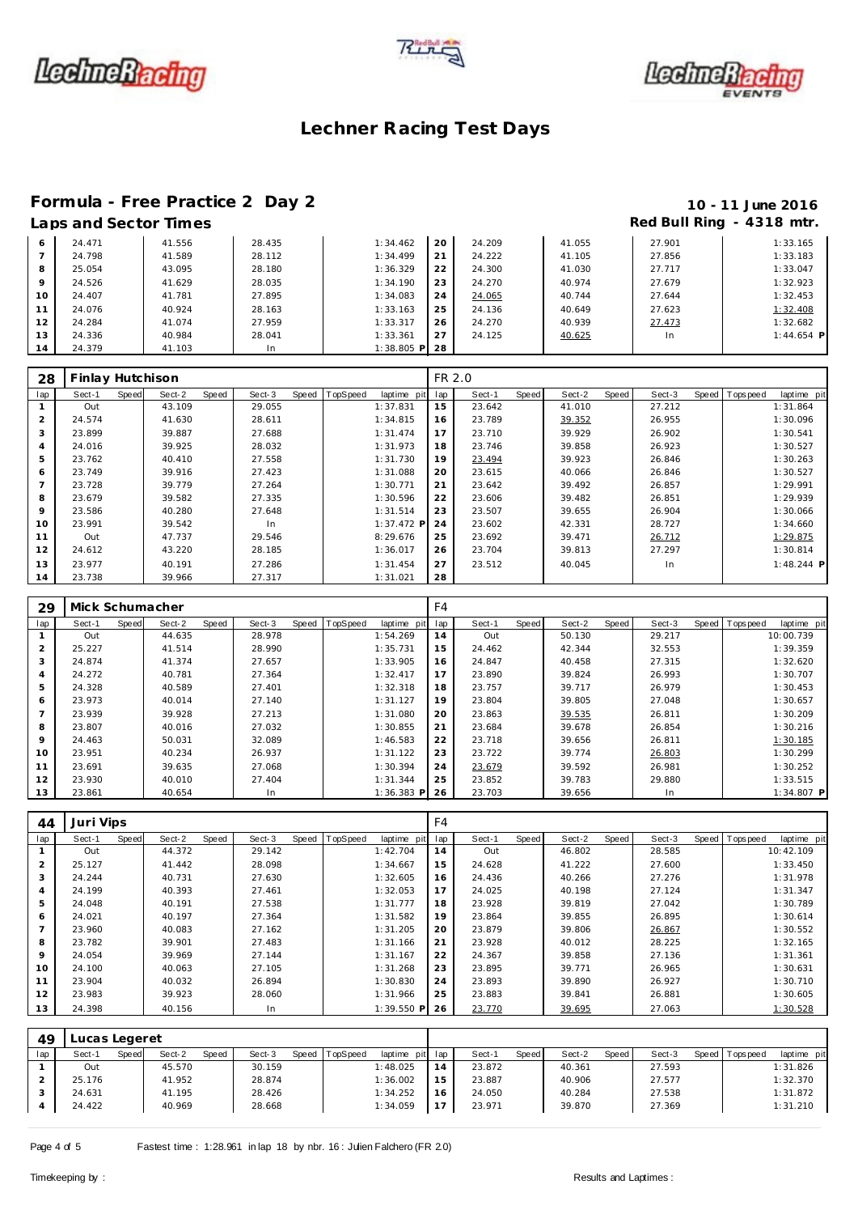





# **Formula - Free Practice 2 Day 2 10 - 11 June 2016**

### Red Bull Ring - 4318 mtr.

|         |        |        |        |             |    |        |        | . .    |              |
|---------|--------|--------|--------|-------------|----|--------|--------|--------|--------------|
| 6       | 24.471 | 41.556 | 28.435 | 1:34.462    | 20 | 24.209 | 41.055 | 27.901 | 1:33.165     |
|         | 24.798 | 41.589 | 28.112 | 1:34.499    | 21 | 24.222 | 41.105 | 27.856 | 1:33.183     |
| 8       | 25.054 | 43.095 | 28.180 | 1:36.329    | 22 | 24.300 | 41.030 | 27.717 | 1:33.047     |
| $\circ$ | 24.526 | 41.629 | 28.035 | 1:34.190    | 23 | 24.270 | 40.974 | 27.679 | 1:32.923     |
| 10      | 24.407 | 41.781 | 27.895 | 1:34.083    | 24 | 24.065 | 40.744 | 27.644 | 1:32.453     |
| 11      | 24.076 | 40.924 | 28.163 | 1:33.163    | 25 | 24.136 | 40.649 | 27.623 | 1:32.408     |
| 12      | 24.284 | 41.074 | 27.959 | 1:33.317    | 26 | 24.270 | 40.939 | 27.473 | 1:32.682     |
| 13      | 24.336 | 40.984 | 28.041 | 1:33.361    | 27 | 24.125 | 40.625 | In     | $1:44.654$ P |
| 14      | 24.379 | 41.103 | In     | 1:38.805 PI | 28 |        |        |        |              |

| 28  | Finlay Hutchison |       |        |       |        |       |          |              | FR 2.0 |        |       |        |       |        |                |              |
|-----|------------------|-------|--------|-------|--------|-------|----------|--------------|--------|--------|-------|--------|-------|--------|----------------|--------------|
| lap | Sect-1           | Speed | Sect-2 | Speed | Sect-3 | Speed | TopSpeed | laptime pit  | lap    | Sect-1 | Speed | Sect-2 | Speed | Sect-3 | Speed Topspeed | laptime pit  |
|     | Out              |       | 43.109 |       | 29.055 |       |          | 1:37.831     | 15     | 23.642 |       | 41.010 |       | 27.212 |                | 1:31.864     |
| 2   | 24.574           |       | 41.630 |       | 28.611 |       |          | 1:34.815     | 16     | 23.789 |       | 39.352 |       | 26.955 |                | 1:30.096     |
| 3   | 23.899           |       | 39.887 |       | 27.688 |       |          | 1:31.474     | 17     | 23.710 |       | 39.929 |       | 26.902 |                | 1:30.541     |
| 4   | 24.016           |       | 39.925 |       | 28.032 |       |          | 1:31.973     | 18     | 23.746 |       | 39.858 |       | 26.923 |                | 1:30.527     |
| 5   | 23.762           |       | 40.410 |       | 27.558 |       |          | 1:31.730     | 19     | 23.494 |       | 39.923 |       | 26.846 |                | 1:30.263     |
| 6   | 23.749           |       | 39.916 |       | 27.423 |       |          | 1:31.088     | 20     | 23.615 |       | 40.066 |       | 26.846 |                | 1:30.527     |
|     | 23.728           |       | 39.779 |       | 27.264 |       |          | 1:30.771     | 21     | 23.642 |       | 39.492 |       | 26.857 |                | 1:29.991     |
| 8   | 23.679           |       | 39.582 |       | 27.335 |       |          | 1:30.596     | 22     | 23.606 |       | 39.482 |       | 26.851 |                | 1:29.939     |
| 9   | 23.586           |       | 40.280 |       | 27.648 |       |          | 1:31.514     | 23     | 23.507 |       | 39.655 |       | 26.904 |                | 1:30.066     |
| 10  | 23.991           |       | 39.542 |       | In     |       |          | $1:37.472$ P | 24     | 23.602 |       | 42.331 |       | 28.727 |                | 1:34.660     |
| 11  | Out              |       | 47.737 |       | 29.546 |       |          | 8:29.676     | 25     | 23.692 |       | 39.471 |       | 26.712 |                | 1:29.875     |
| 12  | 24.612           |       | 43.220 |       | 28.185 |       |          | 1:36.017     | 26     | 23.704 |       | 39.813 |       | 27.297 |                | 1:30.814     |
| 13  | 23.977           |       | 40.191 |       | 27.286 |       |          | 1:31.454     | 27     | 23.512 |       | 40.045 |       | In.    |                | $1:48.244$ P |
| 14  | 23.738           |       | 39.966 |       | 27.317 |       |          | 1:31.021     | 28     |        |       |        |       |        |                |              |

| 29             | Mick Schumacher |       |        |       |        |       |          |              | F <sub>4</sub> |        |       |        |       |        |                |              |
|----------------|-----------------|-------|--------|-------|--------|-------|----------|--------------|----------------|--------|-------|--------|-------|--------|----------------|--------------|
| lap            | Sect-1          | Speed | Sect-2 | Speed | Sect-3 | Speed | TopSpeed | laptime pit  | lap            | Sect-1 | Speed | Sect-2 | Speed | Sect-3 | Speed Topspeed | laptime pit  |
|                | Out             |       | 44.635 |       | 28.978 |       |          | 1:54.269     | 14             | Out    |       | 50.130 |       | 29.217 |                | 10:00.739    |
| 2              | 25.227          |       | 41.514 |       | 28.990 |       |          | 1:35.731     | 15             | 24.462 |       | 42.344 |       | 32.553 |                | 1:39.359     |
| 3              | 24.874          |       | 41.374 |       | 27.657 |       |          | 1:33.905     | 16             | 24.847 |       | 40.458 |       | 27.315 |                | 1:32.620     |
| 4              | 24.272          |       | 40.781 |       | 27.364 |       |          | 1:32.417     | 17             | 23.890 |       | 39.824 |       | 26.993 |                | 1:30.707     |
| 5              | 24.328          |       | 40.589 |       | 27.401 |       |          | 1:32.318     | 18             | 23.757 |       | 39.717 |       | 26.979 |                | 1:30.453     |
| 6              | 23.973          |       | 40.014 |       | 27.140 |       |          | 1:31.127     | 19             | 23.804 |       | 39.805 |       | 27.048 |                | 1:30.657     |
| $\overline{ }$ | 23.939          |       | 39.928 |       | 27.213 |       |          | 1:31.080     | 20             | 23.863 |       | 39.535 |       | 26.811 |                | 1:30.209     |
| 8              | 23.807          |       | 40.016 |       | 27.032 |       |          | 1:30.855     | 21             | 23.684 |       | 39.678 |       | 26.854 |                | 1:30.216     |
| 9              | 24.463          |       | 50.031 |       | 32.089 |       |          | 1:46.583     | 22             | 23.718 |       | 39.656 |       | 26.811 |                | 1:30.185     |
| 10             | 23.951          |       | 40.234 |       | 26.937 |       |          | 1:31.122     | 23             | 23.722 |       | 39.774 |       | 26.803 |                | 1:30.299     |
| 11             | 23.691          |       | 39.635 |       | 27.068 |       |          | 1:30.394     | 24             | 23.679 |       | 39.592 |       | 26.981 |                | 1:30.252     |
| 12             | 23.930          |       | 40.010 |       | 27.404 |       |          | 1:31.344     | 25             | 23.852 |       | 39.783 |       | 29.880 |                | 1:33.515     |
| 13             | 23.861          |       | 40.654 |       | In     |       |          | $1:36.383$ P | 26             | 23.703 |       | 39.656 |       | In.    |                | $1:34.807$ P |

| 44             | Juri Vips |       |        |       |        |       |          |             | F <sub>4</sub> |        |       |        |       |        |       |            |             |
|----------------|-----------|-------|--------|-------|--------|-------|----------|-------------|----------------|--------|-------|--------|-------|--------|-------|------------|-------------|
| lap            | Sect-1    | Speed | Sect-2 | Speed | Sect-3 | Speed | TopSpeed | laptime pit | lap            | Sect-1 | Speed | Sect-2 | Speed | Sect-3 | Speed | T ops peed | laptime pit |
|                | Out       |       | 44.372 |       | 29.142 |       |          | 1:42.704    | 14             | Out    |       | 46.802 |       | 28.585 |       |            | 10:42.109   |
| 2              | 25.127    |       | 41.442 |       | 28.098 |       |          | 1:34.667    | 15             | 24.628 |       | 41.222 |       | 27.600 |       |            | 1:33.450    |
| 3              | 24.244    |       | 40.731 |       | 27.630 |       |          | 1:32.605    | 16             | 24.436 |       | 40.266 |       | 27.276 |       |            | 1:31.978    |
| 4              | 24.199    |       | 40.393 |       | 27.461 |       |          | 1:32.053    | 17             | 24.025 |       | 40.198 |       | 27.124 |       |            | 1:31.347    |
| 5              | 24.048    |       | 40.191 |       | 27.538 |       |          | 1:31.777    | 18             | 23.928 |       | 39.819 |       | 27.042 |       |            | 1:30.789    |
| 6              | 24.021    |       | 40.197 |       | 27.364 |       |          | 1:31.582    | 19             | 23.864 |       | 39.855 |       | 26.895 |       |            | 1:30.614    |
| $\overline{7}$ | 23.960    |       | 40.083 |       | 27.162 |       |          | 1:31.205    | 20             | 23.879 |       | 39.806 |       | 26.867 |       |            | 1:30.552    |
| 8              | 23.782    |       | 39.901 |       | 27.483 |       |          | 1:31.166    | 21             | 23.928 |       | 40.012 |       | 28.225 |       |            | 1:32.165    |
| 9              | 24.054    |       | 39.969 |       | 27.144 |       |          | 1:31.167    | 22             | 24.367 |       | 39.858 |       | 27.136 |       |            | 1:31.361    |
| 10             | 24.100    |       | 40.063 |       | 27.105 |       |          | 1:31.268    | 23             | 23.895 |       | 39.771 |       | 26.965 |       |            | 1:30.631    |
| 11             | 23.904    |       | 40.032 |       | 26.894 |       |          | 1:30.830    | 24             | 23.893 |       | 39.890 |       | 26.927 |       |            | 1:30.710    |
| 12             | 23.983    |       | 39.923 |       | 28.060 |       |          | 1:31.966    | 25             | 23.883 |       | 39.841 |       | 26.881 |       |            | 1:30.605    |
| 13             | 24.398    |       | 40.156 |       | In.    |       |          | 1:39.550 P  | 26             | 23.770 |       | 39.695 |       | 27.063 |       |            | 1:30.528    |

| 49  | Lucas Legeret |       |        |              |        |                  |                 |     |        |              |        |       |        |       |           |             |
|-----|---------------|-------|--------|--------------|--------|------------------|-----------------|-----|--------|--------------|--------|-------|--------|-------|-----------|-------------|
| lap | Sect-1        | Speed | Sect-2 | <b>Speed</b> | Sect-3 | Speed   TopSpeed | laptime pit lap |     | Sect-1 | <b>Speed</b> | Sect-2 | Speed | Sect-3 | Speed | Tops peed | laptime pit |
|     | Out           |       | 45.570 |              | 30.159 |                  | 1:48.025        | 14  | 23.872 |              | 40.361 |       | 27.593 |       |           | 1:31.826    |
|     | 25.176        |       | 41.952 |              | 28.874 |                  | 1:36.002        | l 5 | 23.887 |              | 40.906 |       | 27.577 |       |           | 1:32.370    |
|     | 24.631        |       | 41.195 |              | 28.426 |                  | 1:34.252        | 16  | 24.050 |              | 40.284 |       | 27.538 |       |           | 1:31.872    |
|     | 24.422        |       | 40.969 |              | 28.668 |                  | 1:34.059        | 17  | 23.971 |              | 39.870 |       | 27.369 |       |           | 1:31.210    |